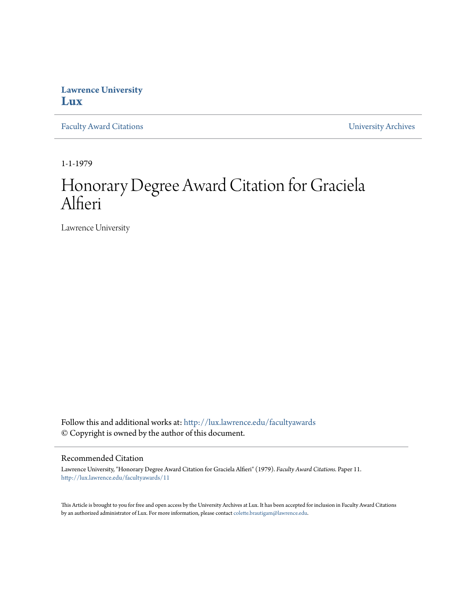## **Lawrence University [Lux](http://lux.lawrence.edu?utm_source=lux.lawrence.edu%2Ffacultyawards%2F11&utm_medium=PDF&utm_campaign=PDFCoverPages)**

[Faculty Award Citations](http://lux.lawrence.edu/facultyawards?utm_source=lux.lawrence.edu%2Ffacultyawards%2F11&utm_medium=PDF&utm_campaign=PDFCoverPages) **Example 2018** [University Archives](http://lux.lawrence.edu/archives?utm_source=lux.lawrence.edu%2Ffacultyawards%2F11&utm_medium=PDF&utm_campaign=PDFCoverPages)

1-1-1979

# Honorary Degree Award Citation for Graciela Alfieri

Lawrence University

Follow this and additional works at: [http://lux.lawrence.edu/facultyawards](http://lux.lawrence.edu/facultyawards?utm_source=lux.lawrence.edu%2Ffacultyawards%2F11&utm_medium=PDF&utm_campaign=PDFCoverPages) © Copyright is owned by the author of this document.

#### Recommended Citation

Lawrence University, "Honorary Degree Award Citation for Graciela Alfieri" (1979). *Faculty Award Citations.* Paper 11. [http://lux.lawrence.edu/facultyawards/11](http://lux.lawrence.edu/facultyawards/11?utm_source=lux.lawrence.edu%2Ffacultyawards%2F11&utm_medium=PDF&utm_campaign=PDFCoverPages)

This Article is brought to you for free and open access by the University Archives at Lux. It has been accepted for inclusion in Faculty Award Citations by an authorized administrator of Lux. For more information, please contact [colette.brautigam@lawrence.edu](mailto:colette.brautigam@lawrence.edu).